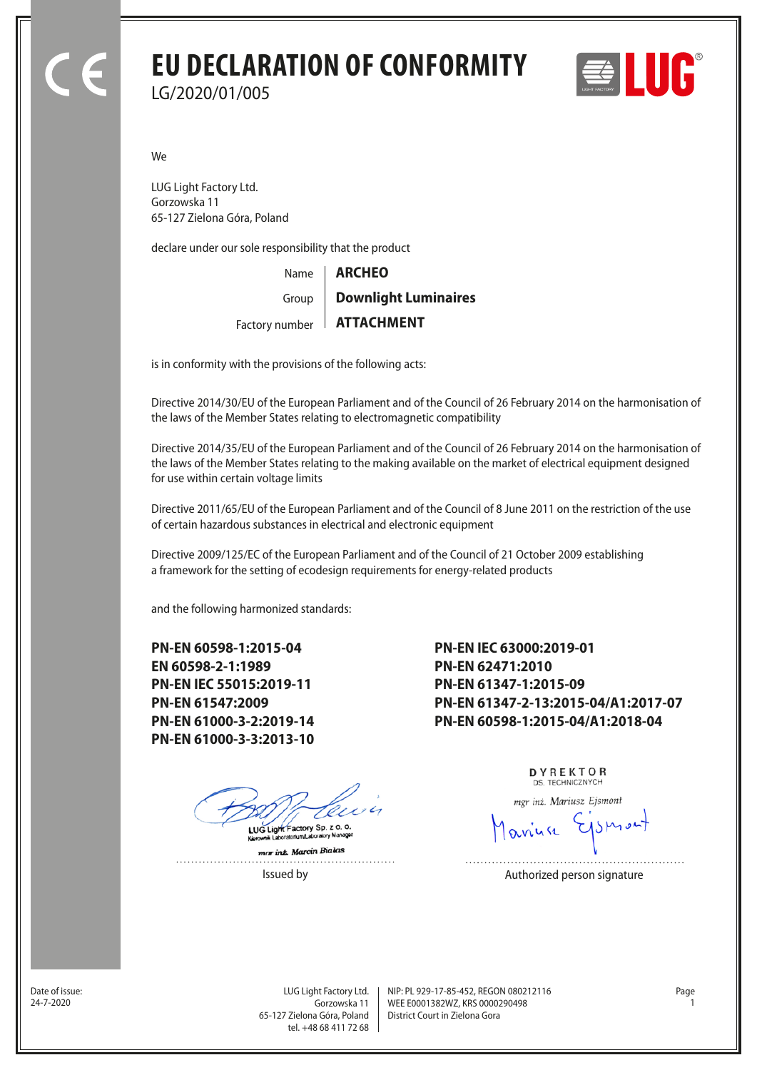## **EU DECLARATION OF CONFORMITY** LG/2020/01/005



We

LUG Light Factory Ltd. Gorzowska 11 65-127 Zielona Góra, Poland

declare under our sole responsibility that the product

Name Factory number **ATTACHMENT** Group **ARCHEO Downlight Luminaires**

is in conformity with the provisions of the following acts:

Directive 2014/30/EU of the European Parliament and of the Council of 26 February 2014 on the harmonisation of the laws of the Member States relating to electromagnetic compatibility

Directive 2014/35/EU of the European Parliament and of the Council of 26 February 2014 on the harmonisation of the laws of the Member States relating to the making available on the market of electrical equipment designed for use within certain voltage limits

Directive 2011/65/EU of the European Parliament and of the Council of 8 June 2011 on the restriction of the use of certain hazardous substances in electrical and electronic equipment

Directive 2009/125/EC of the European Parliament and of the Council of 21 October 2009 establishing a framework for the setting of ecodesign requirements for energy-related products

and the following harmonized standards:

**PN-EN 60598-1:2015-04 EN 60598-2-1:1989 PN-EN IEC 55015:2019-11 PN-EN 61547:2009 PN-EN 61000-3-2:2019-14 PN-EN 61000-3-3:2013-10**

LUG Light Factory Sp. z o. o.

mar inz. Marcin Bialas . . . . . . . . . . . . . . . .  **PN-EN IEC 63000:2019-01 PN-EN 62471:2010 PN-EN 61347-1:2015-09 PN-EN 61347-2-13:2015-04/A1:2017-07 PN-EN 60598-1:2015-04/A1:2018-04**

> DYREKTOR DS. TECHNICZNYCH

mgr inż. Mariusz Ejsmont

Issued by **Authorized person signature** 

Date of issue:<br>24-7-2020

Gorzowska 11 65-127 Zielona Góra, Poland tel. +48 68 411 72 68

LUG Light Factory Ltd. Page NIP: PL 929-17-85-452, REGON 080212116 WEE E0001382WZ, KRS 0000290498 24-7-2020 1 District Court in Zielona Gora